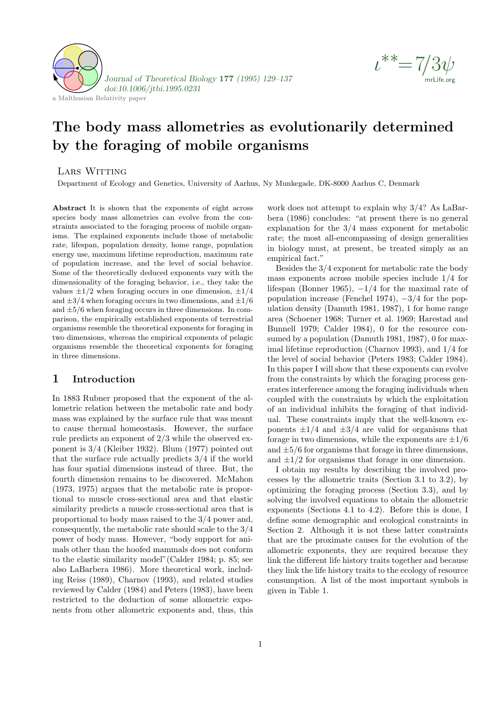



# The body mass allometries as evolutionarily determined by the foraging of mobile organisms

# Lars Witting

Department of Ecology and Genetics, University of Aarhus, Ny Munkegade, DK-8000 Aarhus C, Denmark

Abstract It is shown that the exponents of eight across species body mass allometries can evolve from the constraints associated to the foraging process of mobile organisms. The explained exponents include those of metabolic rate, lifespan, population density, home range, population energy use, maximum lifetime reproduction, maximum rate of population increase, and the level of social behavior. Some of the theoretically deduced exponents vary with the dimensionality of the foraging behavior, i.e., they take the values  $\pm 1/2$  when foraging occurs in one dimension,  $\pm 1/4$ and  $\pm 3/4$  when foraging occurs in two dimensions, and  $\pm 1/6$ and  $\pm 5/6$  when foraging occurs in three dimensions. In comparison, the empirically established exponents of terrestrial organisms resemble the theoretical exponents for foraging in two dimensions, whereas the empirical exponents of pelagic organisms resemble the theoretical exponents for foraging in three dimensions.

# 1 Introduction

In 1883 Rubner proposed that the exponent of the allometric relation between the metabolic rate and body mass was explained by the surface rule that was meant to cause thermal homeostasis. However, the surface rule predicts an exponent of 2/3 while the observed exponent is 3/4 (Kleiber 1932). Blum (1977) pointed out that the surface rule actually predicts 3/4 if the world has four spatial dimensions instead of three. But, the fourth dimension remains to be discovered. McMahon (1973, 1975) argues that the metabolic rate is proportional to muscle cross-sectional area and that elastic similarity predicts a muscle cross-sectional area that is proportional to body mass raised to the 3/4 power and, consequently, the metabolic rate should scale to the 3/4 power of body mass. However, "body support for animals other than the hoofed mammals does not conform to the elastic similarity model"(Calder 1984; p. 85; see also LaBarbera 1986). More theoretical work, including Reiss (1989), Charnov (1993), and related studies reviewed by Calder (1984) and Peters (1983), have been restricted to the deduction of some allometric exponents from other allometric exponents and, thus, this work does not attempt to explain why 3/4? As LaBarbera (1986) concludes: "at present there is no general explanation for the 3/4 mass exponent for metabolic rate; the most all-encompassing of design generalities in biology must, at present, be treated simply as an empirical fact."

Besides the 3/4 exponent for metabolic rate the body mass exponents across mobile species include 1/4 for lifespan (Bonner 1965),  $-1/4$  for the maximal rate of population increase (Fenchel 1974),  $-3/4$  for the population density (Damuth 1981, 1987), 1 for home range area (Schoener 1968; Turner et al. 1969; Harestad and Bunnell 1979; Calder 1984), 0 for the resource consumed by a population (Damuth 1981, 1987), 0 for maximal lifetime reproduction (Charnov 1993), and 1/4 for the level of social behavior (Peters 1983; Calder 1984). In this paper I will show that these exponents can evolve from the constraints by which the foraging process generates interference among the foraging individuals when coupled with the constraints by which the exploitation of an individual inhibits the foraging of that individual. These constraints imply that the well-known exponents  $\pm 1/4$  and  $\pm 3/4$  are valid for organisms that forage in two dimensions, while the exponents are  $\pm 1/6$ and  $\pm 5/6$  for organisms that forage in three dimensions, and  $\pm 1/2$  for organisms that forage in one dimension.

I obtain my results by describing the involved processes by the allometric traits (Section 3.1 to 3.2), by optimizing the foraging process (Section 3.3), and by solving the involved equations to obtain the allometric exponents (Sections 4.1 to 4.2). Before this is done, I define some demographic and ecological constraints in Section 2. Although it is not these latter constraints that are the proximate causes for the evolution of the allometric exponents, they are required because they link the different life history traits together and because they link the life history traits to the ecology of resource consumption. A list of the most important symbols is given in Table 1.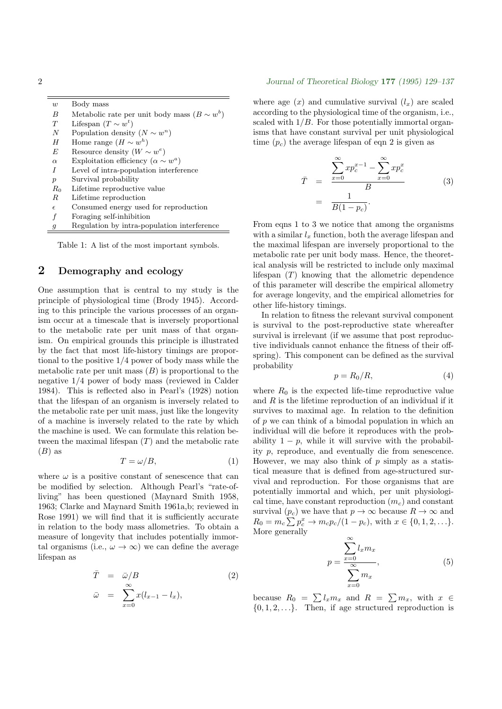| $\boldsymbol{w}$ | Body mass                                      |
|------------------|------------------------------------------------|
| B                | Metabolic rate per unit body mass ( $B \sim w$ |
| T                | Lifespan $(T \sim w^t)$                        |
| N                | Population density $(N \sim w^n)$              |
| H                | Home range $(H \sim w^h)$                      |
| F,               | Resource density $(W \sim w^e)$                |
| $\alpha$         | Exploitation efficiency ( $\alpha \sim w^a$ )  |
| I                | Level of intra-population interference         |
| $\boldsymbol{p}$ | Survival probability                           |
| $R_0$            | Lifetime reproductive value                    |
| R                | Lifetime reproduction                          |
| $\epsilon$       | Consumed energy used for reproduction          |
| f                | Foraging self-inhibition                       |
|                  |                                                |

 $^b)$ 

Regulation by intra-population interference

Table 1: A list of the most important symbols.

# 2 Demography and ecology

One assumption that is central to my study is the principle of physiological time (Brody 1945). According to this principle the various processes of an organism occur at a timescale that is inversely proportional to the metabolic rate per unit mass of that organism. On empirical grounds this principle is illustrated by the fact that most life-history timings are proportional to the positive 1/4 power of body mass while the metabolic rate per unit mass  $(B)$  is proportional to the negative 1/4 power of body mass (reviewed in Calder 1984). This is reflected also in Pearl's (1928) notion that the lifespan of an organism is inversely related to the metabolic rate per unit mass, just like the longevity of a machine is inversely related to the rate by which the machine is used. We can formulate this relation between the maximal lifespan  $(T)$  and the metabolic rate  $(B)$  as

$$
T = \omega/B,\tag{1}
$$

where  $\omega$  is a positive constant of senescence that can be modified by selection. Although Pearl's "rate-ofliving" has been questioned (Maynard Smith 1958, 1963; Clarke and Maynard Smith 1961a,b; reviewed in Rose 1991) we will find that it is sufficiently accurate in relation to the body mass allometries. To obtain a measure of longevity that includes potentially immortal organisms (i.e.,  $\omega \to \infty$ ) we can define the average lifespan as

$$
\begin{array}{rcl}\n\bar{T} & = & \bar{\omega}/B \\
\bar{\omega} & = & \sum_{x=0}^{\infty} x(l_{x-1} - l_x),\n\end{array} \tag{2}
$$

2 Journal of Theoretical Biology 177 (1995) 129–137

where age  $(x)$  and cumulative survival  $(l_x)$  are scaled according to the physiological time of the organism, i.e., scaled with  $1/B$ . For those potentially immortal organisms that have constant survival per unit physiological time  $(p_c)$  the average lifespan of eqn 2 is given as

$$
\begin{aligned}\n\bar{T} &= \frac{\sum_{x=0}^{\infty} x p_c^{x-1} - \sum_{x=0}^{\infty} x p_c^x}{B} \\
&= \frac{1}{B(1 - p_c)}.\n\end{aligned} \tag{3}
$$

From eqns 1 to 3 we notice that among the organisms with a similar  $l_x$  function, both the average lifespan and the maximal lifespan are inversely proportional to the metabolic rate per unit body mass. Hence, the theoretical analysis will be restricted to include only maximal lifespan  $(T)$  knowing that the allometric dependence of this parameter will describe the empirical allometry for average longevity, and the empirical allometries for other life-history timings.

In relation to fitness the relevant survival component is survival to the post-reproductive state whereafter survival is irrelevant (if we assume that post reproductive individuals cannot enhance the fitness of their offspring). This component can be defined as the survival probability

$$
p = R_0/R,\t\t(4)
$$

where  $R_0$  is the expected life-time reproductive value and  $R$  is the lifetime reproduction of an individual if it survives to maximal age. In relation to the definition of p we can think of a bimodal population in which an individual will die before it reproduces with the probability  $1 - p$ , while it will survive with the probability p, reproduce, and eventually die from senescence. However, we may also think of  $p$  simply as a statistical measure that is defined from age-structured survival and reproduction. For those organisms that are potentially immortal and which, per unit physiological time, have constant reproduction  $(m_c)$  and constant survival  $(p_c)$  we have that  $p \to \infty$  because  $R \to \infty$  and  $R_0 = m_c \sum p_c^x \rightarrow m_c p_c / (1 - p_c)$ , with  $x \in \{0, 1, 2, \ldots\}$ . More generally

$$
p = \frac{\sum_{x=0}^{\infty} l_x m_x}{\sum_{x=0}^{\infty} m_x},
$$
\n(5)

because  $R_0 = \sum l_x m_x$  and  $R = \sum m_x$ , with  $x \in$  $\{0, 1, 2, \ldots\}$ . Then, if age structured reproduction is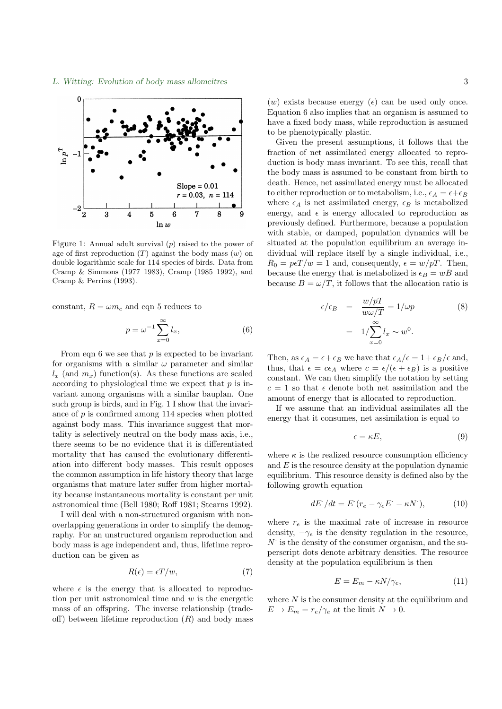

Figure 1: Annual adult survival  $(p)$  raised to the power of age of first reproduction  $(T)$  against the body mass  $(w)$  on double logarithmic scale for 114 species of birds. Data from  $r = \frac{1}{2}$  and  $r = \frac{1}{2}$  we have  $\frac{1}{2}$  where  $\frac{1}{2}$ Cramp & Simmons (1977–1983), Cramp (1985–1992), and Cramp & Perrins (1993).

constant,  $R = \omega m_c$  and eqn 5 reduces to

$$
p = \omega^{-1} \sum_{x=0}^{\infty} l_x,
$$
\n(6)

From eqn 6 we see that  $p$  is expected to be invariant  $l_x$  (and  $m_x$ ) function(s). As these functions are scaled for organisms with a similar  $\omega$  parameter and similar  $\alpha_x$  (and  $m_x$ ) and  $m_y$ ). The those various are search according to physiological time we expect that p is invariant among organisms with a similar bauplan. One such group is birds, and in Fig. 1 I show that the invariance of  $p$  is confirmed among 114 species when plotted there seems to be no evidence that it is differentiated -tality is selectively neutral on the body mass axis, i.e., mortality that has caused the evolutionary differentithe common assumption in life history theory that large organisms that mature later suffer from higher mortality because instantaneous mortality is constant per unit astronomical time (Bell 1980; Roff 1981; Stearns 1992). against body mass. This invariance suggest that moration into different body masses. This result opposes

I will deal with a non-structured organism with nonoverlapping generations in order to simplify the demography. For an unstructured organism reproduction and  $\,$ body mass is age independent and, thus, lifetime reproduction can be given as

$$
R(\epsilon) = \epsilon T/w,\tag{7}
$$

where  $\epsilon$  is the energy that is allocated to reproduction per unit astronomical time and  $w$  is the energetic mass of an offspring. The inverse relationship (trade-<br> $\frac{d^n}{dx^n}$ ) is the inverse relationship (tradeoff) between lifetime reproduction  $(R)$  and body mass

(w) exists because energy ( $\epsilon$ ) can be used only once. Equation 6 also implies that an organism is assumed to to be phenotypically plastic. have a fixed body mass, while reproduction is assumed

Fraction of net assimilated energy allocated to repromation of not assuminated energy and duction is body mass invariant. To see this, recall that the body mass is assumed to be constant from birth to death. Hence, net assimilated energy must be allocated to either reproduction or to metabolism, i.e.,  $\epsilon_A = \epsilon + \epsilon_B$ where  $\epsilon_A$  is net assimilated energy,  $\epsilon_B$  is metabolized energy, and  $\epsilon$  is energy allocated to reproduction as previously defined. Furthermore, because a population with stable, or damped, population dynamics will be situated at the population equilibrium an average individual will replace itself by a single individual, i.e.,  $R_0 = p\epsilon T/w = 1$  and, consequently,  $\epsilon = w/pT$ . Then, because the energy mat is increducible is  $\epsilon_B = \omega_D$  and because  $B = \omega/T$ , it follows that the allocation ratio is Given the present assumptions, it follows that the because the energy that is metabolized is  $\epsilon_B = wB$  and

$$
\epsilon/\epsilon_B = \frac{w/pT}{w\omega/T} = 1/\omega p \qquad (8)
$$

$$
= 1/\sum_{x=0}^{\infty} l_x \sim w^0.
$$

Then, as  $\epsilon_A = \epsilon + \epsilon_B$  we have that  $\epsilon_A / \epsilon = 1 + \epsilon_B / \epsilon$  and, thus, that  $\epsilon = c\epsilon_A$  where  $c = \epsilon/(\epsilon + \epsilon_B)$  is a positive constant. We can then simplify the notation by setting  $c = 1$  so that  $\epsilon$  denote both net assimilation and the amount of energy that is allocated to reproduction.

energy that it consumes, net assimilation is equal to<br> $\epsilon = \kappa E$ , If we assume that an individual assimilates all the

$$
\epsilon = \kappa E,\tag{9}
$$

where  $\kappa$  is the realized resource consumption efficiency and  $E$  is the resource density at the population dynamic equilibrium. This resource density is defined also by the following growth equation

$$
dE'/dt = E'(r_e - \gamma_e E - \kappa N)), \qquad (10)
$$

where  $r_e$  is the maximal rate of increase in resource density,  $-\gamma_e$  is the density regulation in the resource, perscript dots denote arbitrary densities. The resource density at the population equilibrium is then  $N^{\cdot}$  is the density of the consumer organism, and the su-

$$
E = E_m - \kappa N / \gamma_e,\tag{11}
$$

where  $N$  is the consumer density at the equilibrium and where  $\mathcal{L}$  is the maximal rate of increase in resource in resource in resource in resource in resource in resource in resource in  $E \to E_m = r_e / \gamma_e$  at the limit  $N \to 0$ .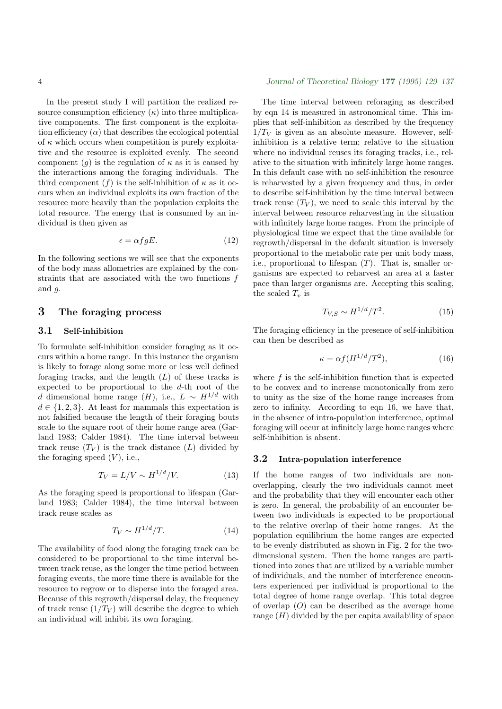In the present study I will partition the realized resource consumption efficiency  $(\kappa)$  into three multiplicative components. The first component is the exploitation efficiency  $(\alpha)$  that describes the ecological potential of  $\kappa$  which occurs when competition is purely exploitative and the resource is exploited evenly. The second component  $(g)$  is the regulation of  $\kappa$  as it is caused by the interactions among the foraging individuals. The third component (f) is the self-inhibition of  $\kappa$  as it occurs when an individual exploits its own fraction of the resource more heavily than the population exploits the total resource. The energy that is consumed by an individual is then given as

$$
\epsilon = \alpha f g E. \tag{12}
$$

In the following sections we will see that the exponents of the body mass allometries are explained by the constraints that are associated with the two functions f and  $q$ .

# 3 The foraging process

## 3.1 Self-inhibition

To formulate self-inhibition consider foraging as it occurs within a home range. In this instance the organism is likely to forage along some more or less well defined foraging tracks, and the length  $(L)$  of these tracks is expected to be proportional to the d-th root of the d dimensional home range  $(H)$ , i.e.,  $L \sim H^{1/d}$  with  $d \in \{1, 2, 3\}$ . At least for mammals this expectation is not falsified because the length of their foraging bouts scale to the square root of their home range area (Garland 1983; Calder 1984). The time interval between track reuse  $(T_V)$  is the track distance  $(L)$  divided by the foraging speed  $(V)$ , i.e.,

$$
T_V = L/V \sim H^{1/d}/V. \tag{13}
$$

As the foraging speed is proportional to lifespan (Garland 1983; Calder 1984), the time interval between track reuse scales as

$$
T_V \sim H^{1/d}/T.
$$
 (14)

The availability of food along the foraging track can be considered to be proportional to the time interval between track reuse, as the longer the time period between foraging events, the more time there is available for the resource to regrow or to disperse into the foraged area. Because of this regrowth/dispersal delay, the frequency of track reuse  $(1/T_V)$  will describe the degree to which an individual will inhibit its own foraging.

### 4 Journal of Theoretical Biology 177 (1995) 129–137

The time interval between reforaging as described by eqn 14 is measured in astronomical time. This implies that self-inhibition as described by the frequency  $1/T_V$  is given as an absolute measure. However, selfinhibition is a relative term; relative to the situation where no individual reuses its foraging tracks, i.e., relative to the situation with infinitely large home ranges. In this default case with no self-inhibition the resource is reharvested by a given frequency and thus, in order to describe self-inhibition by the time interval between track reuse  $(T_V)$ , we need to scale this interval by the interval between resource reharvesting in the situation with infinitely large home ranges. From the principle of physiological time we expect that the time available for regrowth/dispersal in the default situation is inversely proportional to the metabolic rate per unit body mass, i.e., proportional to lifespan  $(T)$ . That is, smaller organisms are expected to reharvest an area at a faster pace than larger organisms are. Accepting this scaling, the scaled  $T_v$  is

$$
T_{V,S} \sim H^{1/d}/T^2. \tag{15}
$$

The foraging efficiency in the presence of self-inhibition can then be described as

$$
\kappa = \alpha f (H^{1/d}/T^2),\tag{16}
$$

where  $f$  is the self-inhibition function that is expected to be convex and to increase monotonically from zero to unity as the size of the home range increases from zero to infinity. According to eqn 16, we have that, in the absence of intra-population interference, optimal foraging will occur at infinitely large home ranges where self-inhibition is absent.

## 3.2 Intra-population interference

If the home ranges of two individuals are nonoverlapping, clearly the two individuals cannot meet and the probability that they will encounter each other is zero. In general, the probability of an encounter between two individuals is expected to be proportional to the relative overlap of their home ranges. At the population equilibrium the home ranges are expected to be evenly distributed as shown in Fig. 2 for the twodimensional system. Then the home ranges are partitioned into zones that are utilized by a variable number of individuals, and the number of interference encounters experienced per individual is proportional to the total degree of home range overlap. This total degree of overlap  $(O)$  can be described as the average home range  $(H)$  divided by the per capita availability of space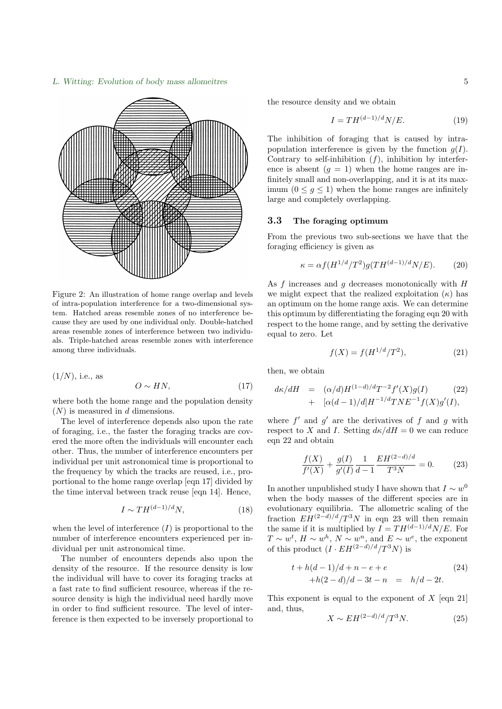# L. Witting: Evolution of body mass allomeitres 5



Figure 2: An illustration of home range overlap and levels of intra-population interference for a two-dimensional system. Hatched areas resemble zones of no interference because they are used by one individual only. Double-hatched areas resemble zones of interference between two individuals. Triple-hatched areas resemble zones with interference among three individuals.

$$
(1/N), \text{ i.e., as } O \sim HN,
$$
 (17)

where both the home range and the population density  $(N)$  is measured in d dimensions.

The level of interference depends also upon the rate of foraging, i.e., the faster the foraging tracks are covered the more often the individuals will encounter each other. Thus, the number of interference encounters per individual per unit astronomical time is proportional to the frequency by which the tracks are reused, i.e., proportional to the home range overlap [eqn 17] divided by the time interval between track reuse [eqn 14]. Hence,

$$
I \sim TH^{(d-1)/d}N,\tag{18}
$$

when the level of interference  $(I)$  is proportional to the number of interference encounters experienced per individual per unit astronomical time.

The number of encounters depends also upon the density of the resource. If the resource density is low the individual will have to cover its foraging tracks at a fast rate to find sufficient resource, whereas if the resource density is high the individual need hardly move in order to find sufficient resource. The level of interference is then expected to be inversely proportional to the resource density and we obtain

$$
I = TH^{(d-1)/d}N/E.
$$
\n<sup>(19)</sup>

The inhibition of foraging that is caused by intrapopulation interference is given by the function  $g(I)$ . Contrary to self-inhibition  $(f)$ , inhibition by interference is absent  $(g = 1)$  when the home ranges are infinitely small and non-overlapping, and it is at its maxlarge and completely overlapping. imum  $(0 \leq q \leq 1)$  when the home ranges are infinitely

#### 3.3 The foraging optimum

From the previous two sub-sections we have that the From the previous two sub-s<br>foraging efficiency is given as

$$
\kappa = \alpha f (H^{1/d}/T^2) g (TH^{(d-1)/d}N/E). \tag{20}
$$

As  $f$  increases and  $g$  decreases monotonically with  $H$  $\sum_{i=1}^{n}$  increases and g decreases monotometry with  $n$  we might expect that the realized exploitation  $(\kappa)$  has an optimum on the home range axis. We can determine this optimum by differentiating the foraging eqn 20 with f ( $\frac{1}{\sqrt{2}}$  for the home range, and by setting the derivative equal to zero. Let

$$
f(X) = f(H^{1/d}/T^2),
$$
 (21)

then, we obtain

$$
d\kappa/dH = (\alpha/d)H^{(1-d)/d}T^{-2}f'(X)g(I)
$$
\n
$$
+ [\alpha(d-1)/d]H^{-1/d}TNE^{-1}f(X)g'(I),
$$
\n(22)

where  $f'$  and  $g'$  are the derivatives of f and g with respect to X and I. Setting  $d\kappa/dH = 0$  we can reduce eqn 22 and obtain

$$
\frac{f(X)}{f'(X)} + \frac{g(I)}{g'(I)} \frac{1}{d-1} \frac{EH^{(2-d)/d}}{T^3 N} = 0.
$$
 (23)

In another unpublished study I have shown that  $I \sim w^0$ when the body masses of the different species are in evolutionary equilibria. The allometric scaling of the fraction  $EH^{(2-d)/d}/T^3N$  in eqn 23 will then remain the same if it is multiplied by  $I = TH^{(d-1)/d}N/E$ . For  $T \sim w^t$ ,  $H \sim w^h$ ,  $N \sim w^n$ , and  $E \sim w^e$ , the exponent of this product  $(I \cdot EH^{(2-d)/d}/T^3N)$  is

$$
t + h(d - 1)/d + n - e + e
$$
  
+ h(2 - d)/d - 3t - n = h/d - 2t. (24)

This exponent is equal to the exponent of  $X$  [eqn 21] and, thus,

$$
X \sim EH^{(2-d)/d}/T^3N.
$$
 (25)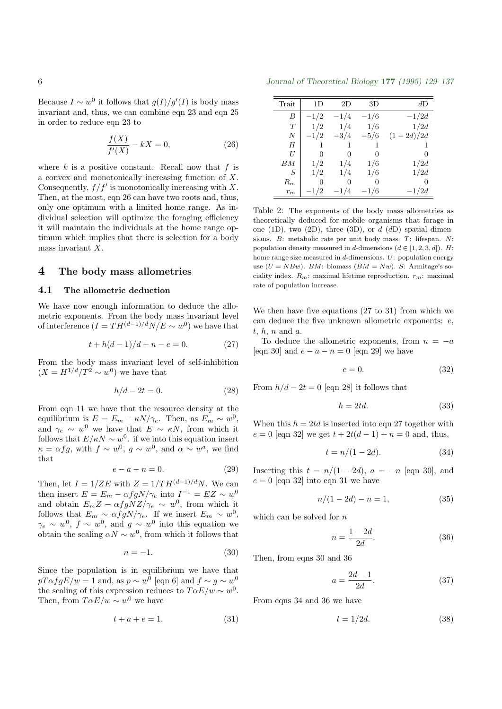Because  $I \sim w^0$  it follows that  $g(I)/g'(I)$  is body mass invariant and, thus, we can combine eqn 23 and eqn 25 in order to reduce eqn 23 to

$$
\frac{f(X)}{f'(X)} - kX = 0,\t\t(26)
$$

where  $k$  is a positive constant. Recall now that  $f$  is a convex and monotonically increasing function of X. Consequently,  $f/f'$  is monotonically increasing with X. Then, at the most, eqn 26 can have two roots and, thus, only one optimum with a limited home range. As individual selection will optimize the foraging efficiency it will maintain the individuals at the home range optimum which implies that there is selection for a body mass invariant X.

# 4 The body mass allometries

## 4.1 The allometric deduction

We have now enough information to deduce the allometric exponents. From the body mass invariant level of interference  $(I = TH^{(d-1)/d}N/E \sim w^0)$  we have that

$$
t + h(d - 1)/d + n - e = 0.
$$
 (27)

From the body mass invariant level of self-inhibition  $(X = H^{1/d}/T^2 \sim w^0)$  we have that

$$
h/d - 2t = 0.\t(28)
$$

From eqn 11 we have that the resource density at the equilibrium is  $E = E_m - \kappa N / \gamma_e$ . Then, as  $E_m \sim w^0$ , and  $\gamma_e \sim w^0$  we have that  $E \sim \kappa N$ , from which it follows that  $E/\kappa N \sim w^0$ . if we into this equation insert  $\kappa = \alpha fg$ , with  $f \sim w^0$ ,  $g \sim w^0$ , and  $\alpha \sim w^a$ , we find that

$$
e - a - n = 0.\t\t(29)
$$

Then, let  $I = 1/ZE$  with  $Z = 1/TH^{(d-1)/d}N$ . We can then insert  $E = E_m - \alpha f g N / \gamma_e$  into  $I^{-1} = EZ \sim w^0$ and obtain  $E_m Z - \alpha f g N Z / \gamma_e \sim w^0$ , from which it follows that  $E_m \sim \alpha f g N / \gamma_e$ . If we insert  $E_m \sim w^0$ ,  $\gamma_e \sim w^0$ ,  $f \sim w^0$ , and  $g \sim w^0$  into this equation we obtain the scaling  $\alpha N \sim w^0$ , from which it follows that

$$
n = -1.\t\t(30)
$$

Since the population is in equilibrium we have that  $pT\alpha fgE/w = 1$  and, as  $p \sim w^0$  [eqn 6] and  $f \sim g \sim w^0$ the scaling of this expression reduces to  $T\alpha E/w \sim w^0$ . Then, from  $T\alpha E/w \sim w^0$  we have

$$
t + a + e = 1.\tag{31}
$$

6 Journal of Theoretical Biology 177 (1995) 129–137

| Trait | 1D     | 2D       | 3D     | dD          |
|-------|--------|----------|--------|-------------|
| B     | $-1/2$ | $-1/4$   | $-1/6$ | $-1/2d$     |
| T     | 1/2    | 1/4      | 1/6    | 1/2d        |
| N     | $-1/2$ | $-3/4$   | $-5/6$ | $(1-2d)/2d$ |
| H     | 1      | 1        | 1      |             |
| H     | 0      | 0        | 0      | 0           |
| BM    | 1/2    | 1/4      | 1/6    | 1/2d        |
| S     | 1/2    | 1/4      | 1/6    | 1/2d        |
| $R_m$ | 0      | $^{(1)}$ | 0      | 0           |
| $r_m$ | $-1/2$ | $-1/4$   | $-1/6$ | $-1/2d$     |

Table 2: The exponents of the body mass allometries as theoretically deduced for mobile organisms that forage in one (1D), two (2D), three (3D), or  $d(dD)$  spatial dimensions. B: metabolic rate per unit body mass. T: lifespan. N: population density measured in d-dimensions  $(d \in [1, 2, 3, d])$ . H: home range size measured in  $d$ -dimensions.  $U:$  population energy use  $(U = NBw)$ . BM: biomass  $(BM = Nw)$ . S: Armitage's sociality index.  $R_m$ : maximal lifetime reproduction.  $r_m$ : maximal rate of population increase.

We then have five equations (27 to 31) from which we can deduce the five unknown allometric exponents: e,  $t, h, n$  and  $a$ .

To deduce the allometric exponents, from  $n = -a$ [eqn 30] and  $e - a - n = 0$  [eqn 29] we have

$$
e = 0.\t\t(32)
$$

From  $h/d - 2t = 0$  [eqn 28] it follows that

$$
h = 2td.\t(33)
$$

When this  $h = 2td$  is inserted into eqn 27 together with  $e = 0$  [eqn 32] we get  $t + 2t(d - 1) + n = 0$  and, thus,

$$
t = n/(1 - 2d). \t\t(34)
$$

Inserting this  $t = n/(1 - 2d)$ ,  $a = -n$  [eqn 30], and  $e = 0$  [eqn 32] into eqn 31 we have

$$
n/(1 - 2d) - n = 1,\t(35)
$$

which can be solved for  $n$ 

$$
n = \frac{1 - 2d}{2d}.\tag{36}
$$

Then, from eqns 30 and 36

$$
a = \frac{2d - 1}{2d}.\tag{37}
$$

From eqns 34 and 36 we have

$$
t = 1/2d.\t\t(38)
$$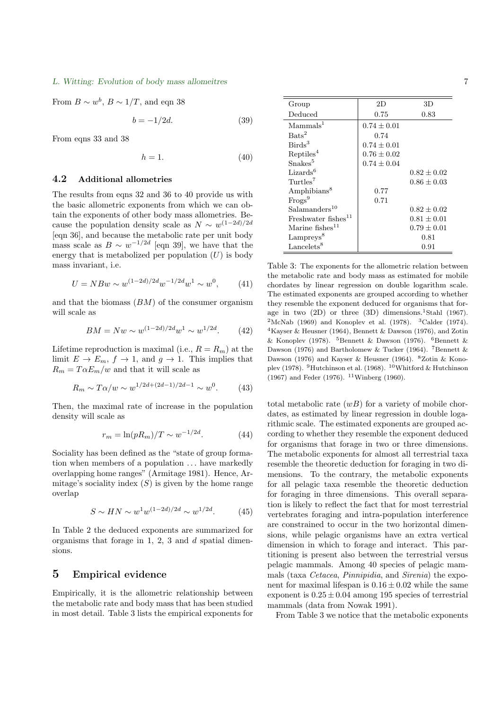#### L. Witting: Evolution of body mass allomeitres 7

From  $B \sim w^b$ ,  $B \sim 1/T$ , and eqn 38

$$
b = -1/2d.\t\t(39)
$$

From eqns 33 and 38

$$
h = 1.\t\t(40)
$$

### 4.2 Additional allometries

The results from eqns 32 and 36 to 40 provide us with the basic allometric exponents from which we can obtain the exponents of other body mass allometries. Because the population density scale as  $N \sim w^{(1-2d)/2d}$ [eqn 36], and because the metabolic rate per unit body mass scale as  $B \sim w^{-1/2d}$  [eqn 39], we have that the energy that is metabolized per population  $(U)$  is body mass invariant, i.e.

$$
U = NBw \sim w^{(1-2d)/2d} w^{-1/2d} w^1 \sim w^0, \qquad (41)
$$

and that the biomass  $(BM)$  of the consumer organism will scale as

$$
BM = Nw \sim w^{(1-2d)/2d} w^1 \sim w^{1/2d}.
$$
 (42)

Lifetime reproduction is maximal (i.e.,  $R = R_m$ ) at the limit  $E \to E_m$ ,  $f \to 1$ , and  $g \to 1$ . This implies that  $R_m = T \alpha E_m/w$  and that it will scale as

$$
R_m \sim T\alpha/w \sim w^{1/2d + (2d-1)/2d-1} \sim w^0.
$$
 (43)

Then, the maximal rate of increase in the population density will scale as

$$
r_m = \ln(pR_m)/T \sim w^{-1/2d}.
$$
 (44)

Sociality has been defined as the "state of group formation when members of a population  $\dots$  have markedly overlapping home ranges" (Armitage 1981). Hence, Armitage's sociality index  $(S)$  is given by the home range overlap

$$
S \sim HN \sim w^1 w^{(1-2d)/2d} \sim w^{1/2d}.\tag{45}
$$

In Table 2 the deduced exponents are summarized for organisms that forage in 1, 2, 3 and  $d$  spatial dimensions.

## 5 Empirical evidence

Empirically, it is the allometric relationship between the metabolic rate and body mass that has been studied in most detail. Table 3 lists the empirical exponents for

| Group                           | 2D              | 3D              |
|---------------------------------|-----------------|-----------------|
| Deduced                         | 0.75            | 0.83            |
| Mammals <sup>1</sup>            | $0.74 \pm 0.01$ |                 |
| $\text{Bats}^2$                 | 0.74            |                 |
| Birds <sup>3</sup>              | $0.74 \pm 0.01$ |                 |
| Reptiles <sup>4</sup>           | $0.76 + 0.02$   |                 |
| Snakes <sup>5</sup>             | $0.74 \pm 0.04$ |                 |
| Lizards <sup>6</sup>            |                 | $0.82 \pm 0.02$ |
| Turtles <sup>7</sup>            |                 | $0.86 + 0.03$   |
| Amphibians <sup>8</sup>         | 0.77            |                 |
| Frogs <sup>9</sup>              | 0.71            |                 |
| Salamanders <sup>10</sup>       |                 | $0.82 + 0.02$   |
| Freshwater fishes <sup>11</sup> |                 | $0.81 \pm 0.01$ |
| Marine $fishes^{11}$            |                 | $0.79 \pm 0.01$ |
| $L{\rm ampreys}^8$              |                 | $\rm 0.81$      |
| Lancelets <sup>8</sup>          |                 | $\rm 0.91$      |

Table 3: The exponents for the allometric relation between the metabolic rate and body mass as estimated for mobile chordates by linear regression on double logarithm scale. The estimated exponents are grouped according to whether they resemble the exponent deduced for organisms that forage in two  $(2D)$  or three  $(3D)$  dimensions.<sup>1</sup>Stahl  $(1967)$ . <sup>2</sup>McNab (1969) and Konoplev et al. (1978). <sup>3</sup>Calder (1974). <sup>4</sup>Kayser & Heusner (1964), Bennett & Dawson (1976), and Zotin & Konopley (1978). <sup>5</sup>Bennett & Dawson (1976). <sup>6</sup>Bennett & Dawson (1976) and Bartholomew & Tucker (1964). <sup>7</sup>Bennett & Dawson (1976) and Kayser & Heusner (1964). <sup>8</sup>Zotin & Konoplev (1978). <sup>9</sup>Hutchinson et al. (1968). <sup>10</sup>Whitford & Hutchinson  $(1967)$  and Feder (1976). <sup>11</sup>Winberg (1960).

total metabolic rate  $(wB)$  for a variety of mobile chordates, as estimated by linear regression in double logarithmic scale. The estimated exponents are grouped according to whether they resemble the exponent deduced for organisms that forage in two or three dimensions. The metabolic exponents for almost all terrestrial taxa resemble the theoretic deduction for foraging in two dimensions. To the contrary, the metabolic exponents for all pelagic taxa resemble the theoretic deduction for foraging in three dimensions. This overall separation is likely to reflect the fact that for most terrestrial vertebrates foraging and intra-population interference are constrained to occur in the two horizontal dimensions, while pelagic organisms have an extra vertical dimension in which to forage and interact. This partitioning is present also between the terrestrial versus pelagic mammals. Among 40 species of pelagic mammals (taxa Cetacea, Pinnipidia, and Sirenia) the exponent for maximal lifespan is  $0.16 \pm 0.02$  while the same exponent is  $0.25 \pm 0.04$  among 195 species of terrestrial mammals (data from Nowak 1991).

From Table 3 we notice that the metabolic exponents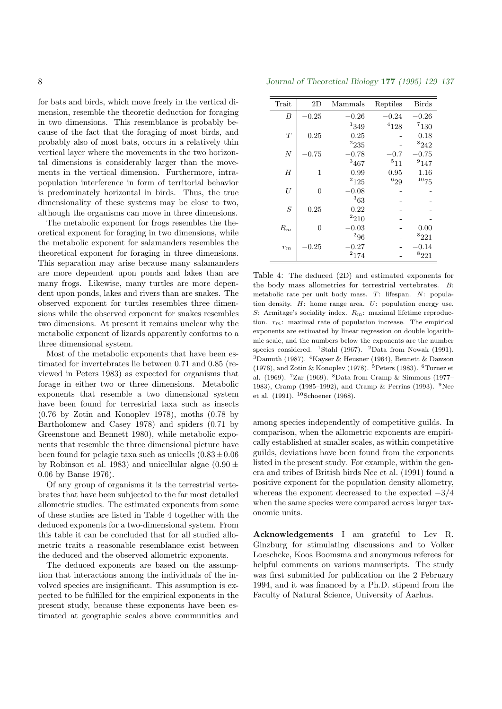for bats and birds, which move freely in the vertical dimension, resemble the theoretic deduction for foraging in two dimensions. This resemblance is probably because of the fact that the foraging of most birds, and probably also of most bats, occurs in a relatively thin vertical layer where the movements in the two horizontal dimensions is considerably larger than the movements in the vertical dimension. Furthermore, intrapopulation interference in form of territorial behavior is predominately horizontal in birds. Thus, the true dimensionality of these systems may be close to two, although the organisms can move in three dimensions.

The metabolic exponent for frogs resembles the theoretical exponent for foraging in two dimensions, while the metabolic exponent for salamanders resembles the theoretical exponent for foraging in three dimensions. This separation may arise because many salamanders are more dependent upon ponds and lakes than are many frogs. Likewise, many turtles are more dependent upon ponds, lakes and rivers than are snakes. The observed exponent for turtles resembles three dimensions while the observed exponent for snakes resembles two dimensions. At present it remains unclear why the metabolic exponent of lizards apparently conforms to a three dimensional system.

Most of the metabolic exponents that have been estimated for invertebrates lie between 0.71 and 0.85 (reviewed in Peters 1983) as expected for organisms that forage in either two or three dimensions. Metabolic exponents that resemble a two dimensional system have been found for terrestrial taxa such as insects (0.76 by Zotin and Konoplev 1978), moths (0.78 by Bartholomew and Casey 1978) and spiders (0.71 by Greenstone and Bennett 1980), while metabolic exponents that resemble the three dimensional picture have been found for pelagic taxa such as unicells  $(0.83 \pm 0.06)$ by Robinson et al. 1983) and unicellular algae (0.90  $\pm$ 0.06 by Banse 1976).

Of any group of organisms it is the terrestrial vertebrates that have been subjected to the far most detailed allometric studies. The estimated exponents from some of these studies are listed in Table 4 together with the deduced exponents for a two-dimensional system. From this table it can be concluded that for all studied allometric traits a reasonable resemblance exist between the deduced and the observed allometric exponents.

The deduced exponents are based on the assumption that interactions among the individuals of the involved species are insignificant. This assumption is expected to be fulfilled for the empirical exponents in the present study, because these exponents have been estimated at geographic scales above communities and

8 Journal of Theoretical Biology 177 (1995) 129–137

| Trait            | 2D             | Mammals        | Reptiles      | <b>Birds</b>   |
|------------------|----------------|----------------|---------------|----------------|
| В                | $-0.25$        | $^{\rm -0.26}$ | $-0.24$       | $^{\rm -0.26}$ |
|                  |                | 1349           | $^{4}128$     | 7130           |
| T                | 0.25           | 0.25           |               | 0.18           |
|                  |                | $^{2}235$      |               | 8242           |
| $\overline{N}$   | $-0.75$        | $-0.78$        | $^{\rm -0.7}$ | $-0.75$        |
|                  |                | 3467           | $^{5}11$      | $^{9}147$      |
| H                | 1              | 0.99           | 0.95          | 1.16           |
|                  |                | $^{2}125$      | 629           | 1075           |
| $\boldsymbol{U}$ | $\overline{0}$ | $-0.08$        |               |                |
|                  |                | 363            |               |                |
| S                | 0.25           | 0.22           |               |                |
|                  |                | $^{2}210$      |               |                |
| $R_m$            | 0              | 0.03           |               | 0.00           |
|                  |                | $^{2}96$       |               | $8_{221}$      |
| $r_m$            | $-0.25\,$      | 0.27           |               | -0.14          |
|                  |                | $^{2}174$      |               | $8_{221}$      |
|                  |                |                |               |                |

Table 4: The deduced (2D) and estimated exponents for the body mass allometries for terrestrial vertebrates. B: metabolic rate per unit body mass. T: lifespan. N: population density. H: home range area. U: population energy use. S: Armitage's sociality index.  $R_m$ : maximal lifetime reproduction.  $r_m$ : maximal rate of population increase. The empirical exponents are estimated by linear regression on double logarithmic scale, and the numbers below the exponents are the number species considered. <sup>1</sup>Stahl (1967). <sup>2</sup>Data from Nowak (1991). <sup>3</sup>Damuth (1987). <sup>4</sup>Kayser & Heusner (1964), Bennett & Dawson (1976), and Zotin & Konoplev (1978).  $5$ Peters (1983).  $6$ Turner et al. (1969). <sup>7</sup>Zar (1969). <sup>8</sup>Data from Cramp & Simmons (1977– 1983), Cramp (1985–1992), and Cramp & Perrins (1993). <sup>9</sup>Nee et al. (1991). <sup>10</sup>Schoener (1968).

among species independently of competitive guilds. In comparison, when the allometric exponents are empirically established at smaller scales, as within competitive guilds, deviations have been found from the exponents listed in the present study. For example, within the genera and tribes of British birds Nee et al. (1991) found a positive exponent for the population density allometry, whereas the exponent decreased to the expected  $-3/4$ when the same species were compared across larger taxonomic units.

Acknowledgements I am grateful to Lev R. Ginzburg for stimulating discussions and to Volker Loeschcke, Koos Boomsma and anonymous referees for helpful comments on various manuscripts. The study was first submitted for publication on the 2 February 1994, and it was financed by a Ph.D. stipend from the Faculty of Natural Science, University of Aarhus.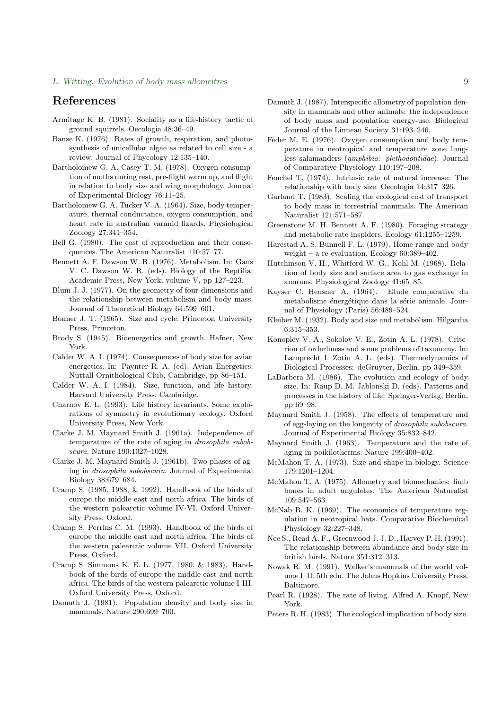#### L. Witting: Evolution of body mass allomeitres 9

# References

- Armitage K. B. (1981). Sociality as a life-history tactic of ground squirrels. Oecologia 48:36–49.
- Banse K. (1976). Rates of growth, respiration, and photosynthesis of unicellular algae as related to cell size - a review. Journal of Phycology 12:135–140.
- Bartholomew G. A. Casey T. M. (1978). Oxygen consumption of moths during rest, pre-flight warm up, and flight in relation to body size and wing morphology. Journal of Experimental Biology 76:11–25.
- Bartholomew G. A. Tucker V. A. (1964). Size, body temperature, thermal conductance, oxygen consumption, and heart rate in australian varanid lizards. Physiological Zoology 27:341–354.
- Bell G. (1980). The cost of reproduction and their consequences. The American Naturalist 110:57–77.
- Bennett A. F. Dawson W. R. (1976). Metabolism. In: Gans V. C. Dawson W. R. (eds). Biology of the Reptilia: Academic Press, New York, volume V, pp 127–223.
- Blum J. J. (1977). On the geometry of four-dimensions and the relationship between metabolism and body mass. Journal of Theoretical Biology 64:599–601.
- Bonner J. T. (1965). Size and cycle. Princeton University Press, Princeton.
- Brody S. (1945). Bioenergetics and growth. Hafner, New York.
- Calder W. A. I. (1974). Consequences of body size for avian energetics. In: Paynter R. A. (ed). Avian Energetics: Nuttall Ornithological Club, Cambridge, pp 86–151.
- Calder W. A. I. (1984). Size, function, and life history. Harvard University Press, Cambridge.
- Charnov E. L. (1993). Life history invariants. Some explorations of symmetry in evolutionary ecology. Oxford University Press, New York.
- Clarke J. M. Maynard Smith J. (1961a). Independence of temperature of the rate of aging in drosophila subobscura. Nature 190:1027–1028.
- Clarke J. M. Maynard Smith J. (1961b). Two phases of aging in drosophila subobscura. Journal of Experimental Biology 38:679–684.
- Cramp S. (1985, 1988, & 1992). Handbook of the birds of europe the middle east and north africa. The birds of the western palearctic volume IV-VI. Oxford University Press, Oxford.
- Cramp S. Perrins C. M. (1993). Handbook of the birds of europe the middle east and north africa. The birds of the western palearctic volume VII. Oxford University Press, Oxford.
- Cramp S. Simmons K. E. L. (1977, 1980, & 1983). Handbook of the birds of europe the middle east and north africa. The birds of the western palearctic volume I-III. Oxford University Press, Oxford.
- Damuth J. (1981). Population density and body size in mammals. Nature 290:699–700.
- Damuth J. (1987). Interspecific allometry of population density in mammals and other animals: the independence of body mass and population energy-use. Biological Journal of the Linnean Society 31:193–246.
- Feder M. E. (1976). Oxygen consumption and body temperature in neotropical and temperature zone lungless salamanders (amphibia: plethodontidae). Journal of Comparative Physiology 110:197–208.
- Fenchel T. (1974). Intrinsic rate of natural increase: The relationship with body size. Oecologia 14:317–326.
- Garland T. (1983). Scaling the ecological cost of transport to body mass in terrestrial mammals. The American Naturalist 121:571–587.
- Greenstone M. H. Bennett A. F. (1980). Foraging strategy and metabolic rate inspiders. Ecology 61:1255–1259.
- Harestad A. S. Bunnell F. L. (1979). Home range and body weight – a re-evaluation. Ecology 60:389–402.
- Hutchinson V. H., Whitford W. G., Kohl M. (1968). Relation of body size and surface area to gas exchange in anurans. Physiological Zoology 41:65–85.
- Kayser C. Heusner A. (1964). Etude comparative du métabolisme énergétique dans la série animale. Journal of Physiology (Paris) 56:489–524.
- Kleiber M. (1932). Body and size and metabolism. Hilgardia 6:315–353.
- Konoplev V. A., Sokolov V. E., Zotin A. L. (1978). Criterion of orderliness and some problems of taxonomy. In: Lamprecht I. Zotin A. L. (eds). Thermodynamics of Biological Processes: deGruyter, Berlin, pp 349–359.
- LaBarbera M. (1986). The evolution and ecology of body size. In: Raup D. M. Jablonski D. (eds). Patterns and processes in the history of life: Springer-Verlag, Berlin, pp 69–98.
- Maynard Smith J. (1958). The effects of temperature and of egg-laying on the longevity of drosophila subobscura. Journal of Experimental Biology 35:832–842.
- Maynard Smith J. (1963). Temperature and the rate of aging in poikilotherms. Nature 199:400–402.
- McMahon T. A. (1973). Size and shape in biology. Science 179:1201–1204.
- McMahon T. A. (1975). Allometry and biomechanics: limb bones in adult ungulates. The American Naturalist 109:547–563.
- McNab B. K. (1969). The economics of temperature regulation in neotropical bats. Comparative Biochemical Physiology 32:227–348.
- Nee S., Read A. F., Greenwood J. J. D., Harvey P. H. (1991). The relationship between abundance and body size in british birds. Nature 351:312–313.
- Nowak R. M. (1991). Walker's mammals of the world volume I–II. 5th edn. The Johns Hopkins University Press, Baltimore.
- Pearl R. (1928). The rate of living. Alfred A. Knopf, New York.
- Peters R. H. (1983). The ecological implication of body size.